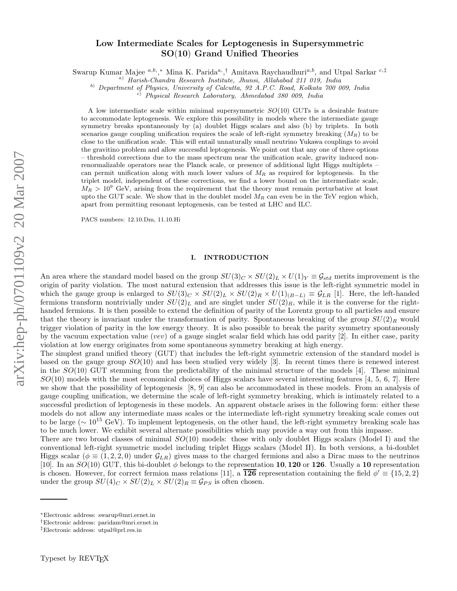# Low Intermediate Scales for Leptogenesis in Supersymmetri c SO (10 ) Grand Unified Theories

Swarup Kumar Majee <sup>a,b</sup>,<sup>\*</sup> Mina K. Parida<sup>a</sup>,<sup>†</sup> Amitava Raychaudhuri<sup>a,b</sup>, and Utpal Sarkar <sup>c,‡</sup>

<sup>a</sup>) Harish-Chandra Research Institute, Jhunsi, Allahabad 211 019, India

<sup>b)</sup> Department of Physics, University of Calcutta, 92 A.P.C. Road, Kolkata 700 009, India <sup>c)</sup> Physical Research Laboratory, Ahmedabad 380 009, India

A low intermediate scale within minimal supersymmetric  $SO(10)$  GUTs is a desirable feature to accommodate leptogenesis. We explore this possibility in models where the intermediate gauge symmetry breaks spontaneously by (a) doublet Higgs scalars and also (b) by triplets. In both scenarios gauge coupling unification requires the scale of left-right symmetry breaking  $(M_R)$  to be close to the unification scale. This will entail unnaturally small neutrino Yukawa couplings to avoid the gravitino problem and allow successful leptogenesis. We point out that any one of three options – threshold corrections due to the mass spectrum near the unification scale, gravity induced nonrenormalizable operators near the Planck scale, or presence of additional light Higgs multiplets – can permit unification along with much lower values of  $M_R$  as required for leptogenesis. In the triplet model, independent of these corrections, we find a lower bound on the intermediate scale,  $M_R > 10^9$  GeV, arising from the requirement that the theory must remain perturbative at least upto the GUT scale. We show that in the doublet model  $M_R$  can even be in the TeV region which, apart from permitting resonant leptogenesis, can be tested at LHC and ILC.

PACS numbers: 12.10.Dm, 11.10.Hi

## I. INTRODUCTION

An area where the standard model based on the group  $SU(3)_C \times SU(2)_L \times U(1)_Y \equiv \mathcal{G}_{std}$  merits improvement is the origin of parity violation. The most natural extension that addresses this issue is the left-right symmetric model in which the gauge group is enlarged to  $SU(3)_C \times SU(2)_L \times SU(2)_R \times U(1)_{(B-L)} \equiv \mathcal{G}_{LR}$  [1]. Here, the left-handed fermions transform nontrivially under  $SU(2)_L$  and are singlet under  $SU(2)_R$ , while it is the converse for the righthanded fermions. It is then possible to extend the definition of parity of the Lorentz group to all particles and ensure that the theory is invariant under the transformation of parity. Spontaneous breaking of the group  $SU(2)_R$  would trigger violation of parity in the low energy theory. It is also possible to break the parity symmetry spontaneously by the vacuum expectation value (vev) of a gauge singlet scalar field which has odd parity [2]. In either case, parity violation at low energy originates from some spontaneous symmetry breaking at high energy.

The simplest grand unified theory (GUT) that includes the left-right symmetric extension of the standard model is based on the gauge group  $SO(10)$  and has been studied very widely [3]. In recent times there is renewed interest in the  $SO(10)$  GUT stemming from the predictability of the minimal structure of the models [4]. These minimal  $SO(10)$  models with the most economical choices of Higgs scalars have several interesting features [4, 5, 6, 7]. Here we show that the possibility of leptogenesis [8, 9] can also be accommodated in these models. From an analysis of gauge coupling unification, we determine the scale of left-right symmetry breaking, which is intimately related to a successful prediction of leptogenesis in these models. An apparent obstacle arises in the following form: either these models do not allow any intermediate mass scales or the intermediate left-right symmetry breaking scale comes out to be large ( $\sim 10^{15}$  GeV). To implement leptogenesis, on the other hand, the left-right symmetry breaking scale has to be much lower. We exhibit several alternate possibilities which may provide a way out from this impasse.

There are two broad classes of minimal  $SO(10)$  models: those with only doublet Higgs scalars (Model I) and the conventional left-right symmetric model including triplet Higgs scalars (Model II). In both versions, a bi-doublet Higgs scalar ( $\phi \equiv (1,2,2,0)$  under  $\mathcal{G}_{LR}$ ) gives mass to the charged fermions and also a Dirac mass to the neutrinos [10]. In an  $SO(10)$  GUT, this bi-doublet  $\phi$  belongs to the representation 10, 120 or 126. Usually a 10 representation is chosen. However, for correct fermion mass relations [11], a  $\overline{126}$  representation containing the field  $\phi' \equiv \{15, 2, 2\}$ under the group  $SU(4)_C \times SU(2)_L \times SU(2)_R \equiv \mathcal{G}_{PS}$  is often chosen.

<sup>∗</sup>Electronic address: swarup@mri.ernet.in

<sup>†</sup>Electronic address: paridam@mri.ernet.in

<sup>‡</sup>Electronic address: utpal@prl.res.in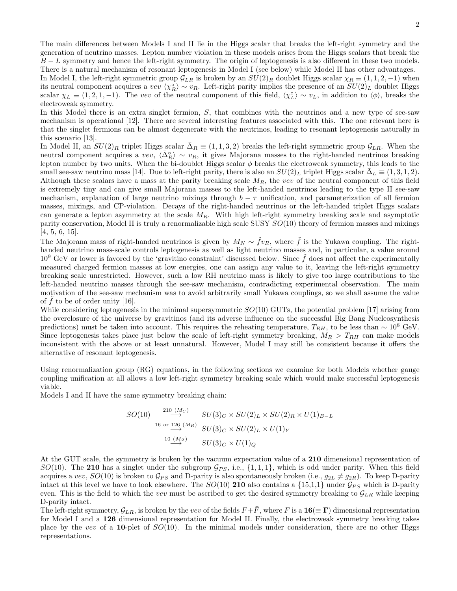The main differences between Models I and II lie in the Higgs scalar that breaks the left-right symmetry and the generation of neutrino masses. Lepton number violation in these models arises from the Higgs scalars that break the  $B - L$  symmetry and hence the left-right symmetry. The origin of leptogenesis is also different in these two models. There is a natural mechanism of resonant leptogenesis in Model I (see below) while Model II has other advantages.

In Model I, the left-right symmetric group  $\mathcal{G}_{LR}$  is broken by an  $SU(2)_R$  doublet Higgs scalar  $\chi_R \equiv (1, 1, 2, -1)$  when its neutral component acquires a vev  $\langle \chi_R^{\circ} \rangle \sim v_R$ . Left-right parity implies the presence of an  $SU(2)_L$  doublet Higgs scalar  $\chi_L \equiv (1, 2, 1, -1)$ . The vev of the neutral component of this field,  $\langle \chi_L^0 \rangle \sim v_L$ , in addition to  $\langle \phi \rangle$ , breaks the electroweak symmetry.

In this Model there is an extra singlet fermion, S, that combines with the neutrinos and a new type of see-saw mechanism is operational [12]. There are several interesting features associated with this. The one relevant here is that the singlet fermions can be almost degenerate with the neutrinos, leading to resonant leptogenesis naturally in this scenario [13].

In Model II, an  $SU(2)_R$  triplet Higgs scalar  $\bar{\Delta}_R \equiv (1,1,3,2)$  breaks the left-right symmetric group  $\mathcal{G}_{LR}$ . When the neutral component acquires a vev,  $\langle \bar{\Delta}_{R}^{\circ} \rangle \sim v_R$ , it gives Majorana masses to the right-handed neutrinos breaking lepton number by two units. When the bi-doublet Higgs scalar  $\phi$  breaks the electroweak symmetry, this leads to the small see-saw neutrino mass [14]. Due to left-right parity, there is also an  $SU(2)_L$  triplet Higgs scalar  $\Delta_L \equiv (1,3,1,2)$ . Although these scalars have a mass at the parity breaking scale  $M_R$ , the vev of the neutral component of this field is extremely tiny and can give small Majorana masses to the left-handed neutrinos leading to the type II see-saw mechanism, explanation of large neutrino mixings through  $b - \tau$  unification, and parameterization of all fermion masses, mixings, and CP-violation. Decays of the right-handed neutrinos or the left-handed triplet Higgs scalars can generate a lepton asymmetry at the scale  $M_R$ . With high left-right symmetry breaking scale and asymptotic parity conservation, Model II is truly a renormalizable high scale SUSY  $SO(10)$  theory of fermion masses and mixings [4, 5, 6, 15].

The Majorana mass of right-handed neutrinos is given by  $M_N \sim \tilde{f}v_R$ , where  $\tilde{f}$  is the Yukawa coupling. The righthanded neutrino mass-scale controls leptogenesis as well as light neutrino masses and, in particular, a value around  $10^9$  GeV or lower is favored by the 'gravitino constraint' discussed below. Since  $\tilde{f}$  does not affect the experimentally measured charged fermion masses at low energies, one can assign any value to it, leaving the left-right symmetry breaking scale unrestricted. However, such a low RH neutrino mass is likely to give too large contributions to the left-handed neutrino masses through the see-saw mechanism, contradicting experimental observation. The main motivation of the see-saw mechanism was to avoid arbitrarily small Yukawa couplings, so we shall assume the value of f to be of order unity  $[16]$ .

While considering leptogenesis in the minimal supersymmetric  $SO(10)$  GUTs, the potential problem [17] arising from the overclosure of the universe by gravitinos (and its adverse influence on the successful Big Bang Nucleosynthesis predictions) must be taken into account. This requires the reheating temperature,  $T_{RH}$ , to be less than  $\sim 10^8$  GeV. Since leptogenesis takes place just below the scale of left-right symmetry breaking,  $M_R > T_{RH}$  can make models inconsistent with the above or at least unnatural. However, Model I may still be consistent because it offers the alternative of resonant leptogenesis.

Using renormalization group (RG) equations, in the following sections we examine for both Models whether gauge coupling unification at all allows a low left-right symmetry breaking scale which would make successful leptogenesis viable.

Models I and II have the same symmetry breaking chain:

$$
SO(10) \xrightarrow{210 \ (M_U)} SU(3)_C \times SU(2)_L \times SU(2)_R \times U(1)_{B-L}
$$
  

$$
\xrightarrow{16 \text{ or } 126 \ (M_R)} SU(3)_C \times SU(2)_L \times U(1)_Y
$$
  

$$
\xrightarrow{10 \ (M_Z)} SU(3)_C \times U(1)_Q
$$

At the GUT scale, the symmetry is broken by the vacuum expectation value of a 210 dimensional representation of SO(10). The 210 has a singlet under the subgroup  $\mathcal{G}_{PS}$ , i.e.,  $\{1, 1, 1\}$ , which is odd under parity. When this field acquires a vev,  $SO(10)$  is broken to  $\mathcal{G}_{PS}$  and D-parity is also spontaneously broken (i.e.,  $g_{2L} \neq g_{2R}$ ). To keep D-parity intact at this level we have to look elsewhere. The  $SO(10)$  210 also contains a  $\{15,1,1\}$  under  $\mathcal{G}_{PS}$  which is D-parity even. This is the field to which the vev must be ascribed to get the desired symmetry breaking to  $\mathcal{G}_{LR}$  while keeping D-parity intact.

The left-right symmetry,  $\mathcal{G}_{LR}$ , is broken by the vev of the fields  $F + \bar{F}$ , where F is a  $\mathbf{16} (\equiv \Gamma)$  dimensional representation for Model I and a 126 dimensional representation for Model II. Finally, the electroweak symmetry breaking takes place by the vev of a 10-plet of  $SO(10)$ . In the minimal models under consideration, there are no other Higgs representations.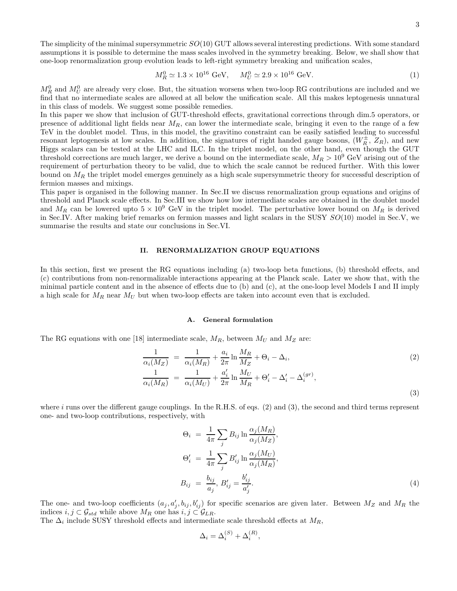3

The simplicity of the minimal supersymmetric  $SO(10)$  GUT allows several interesting predictions. With some standard assumptions it is possible to determine the mass scales involved in the symmetry breaking. Below, we shall show that one-loop renormalization group evolution leads to left-right symmetry breaking and unification scales,

$$
M_R^0 \simeq 1.3 \times 10^{16} \text{ GeV}, \quad M_U^0 \simeq 2.9 \times 10^{16} \text{ GeV}. \tag{1}
$$

 $M_R^0$  and  $M_U^0$  are already very close. But, the situation worsens when two-loop RG contributions are included and we find that no intermediate scales are allowed at all below the unification scale. All this makes leptogenesis unnatural in this class of models. We suggest some possible remedies.

In this paper we show that inclusion of GUT-threshold effects, gravitational corrections through dim.5 operators, or presence of additional light fields near  $M_R$ , can lower the intermediate scale, bringing it even to the range of a few TeV in the doublet model. Thus, in this model, the gravitino constraint can be easily satisfied leading to successful resonant leptogenesis at low scales. In addition, the signatures of right handed gauge bosons,  $(W_R^{\pm}, Z_R)$ , and new Higgs scalars can be tested at the LHC and ILC. In the triplet model, on the other hand, even though the GUT threshold corrections are much larger, we derive a bound on the intermediate scale,  $M_R > 10^9$  GeV arising out of the requirement of perturbation theory to be valid, due to which the scale cannot be reduced further. With this lower bound on  $M_R$  the triplet model emerges genuinely as a high scale supersymmetric theory for successful description of fermion masses and mixings.

This paper is organised in the following manner. In Sec.II we discuss renormalization group equations and origins of threshold and Planck scale effects. In Sec.III we show how low intermediate scales are obtained in the doublet model and  $M_R$  can be lowered upto  $5 \times 10^9$  GeV in the triplet model. The perturbative lower bound on  $M_R$  is derived in Sec.IV. After making brief remarks on fermion masses and light scalars in the SUSY SO(10) model in Sec.V, we summarise the results and state our conclusions in Sec.VI.

## II. RENORMALIZATION GROUP EQUATIONS

In this section, first we present the RG equations including (a) two-loop beta functions, (b) threshold effects, and (c) contributions from non-renormalizable interactions appearing at the Planck scale. Later we show that, with the minimal particle content and in the absence of effects due to (b) and (c), at the one-loop level Models I and II imply a high scale for  $M_R$  near  $M_U$  but when two-loop effects are taken into account even that is excluded.

## A. General formulation

The RG equations with one [18] intermediate scale,  $M_R$ , between  $M_U$  and  $M_Z$  are:

$$
\frac{1}{\alpha_i(M_Z)} = \frac{1}{\alpha_i(M_R)} + \frac{a_i}{2\pi} \ln \frac{M_R}{M_Z} + \Theta_i - \Delta_i,
$$
\n
$$
\frac{1}{\alpha_i(M_R)} = \frac{1}{\alpha_i(M_U)} + \frac{a_i'}{2\pi} \ln \frac{M_U}{M_R} + \Theta_i' - \Delta_i' - \Delta_i^{(gr)},
$$
\n(3)

where  $i$  runs over the different gauge couplings. In the R.H.S. of eqs.  $(2)$  and  $(3)$ , the second and third terms represent one- and two-loop contributions, respectively, with

$$
\Theta_i = \frac{1}{4\pi} \sum_j B_{ij} \ln \frac{\alpha_j(M_R)}{\alpha_j(M_Z)},
$$
  
\n
$$
\Theta'_i = \frac{1}{4\pi} \sum_j B'_{ij} \ln \frac{\alpha_j(M_U)}{\alpha_j(M_R)},
$$
  
\n
$$
B_{ij} = \frac{b_{ij}}{a_j}, B'_{ij} = \frac{b'_{ij}}{a'_j}.
$$
\n(4)

The one- and two-loop coefficients  $(a_j, a'_j, b_{ij}, b'_{ij})$  for specific scenarios are given later. Between  $M_Z$  and  $M_R$  the indices  $i, j \text{ }\subset \mathcal{G}_{std}$  while above  $M_R$  one has  $i, j \text{ }\subset \mathcal{G}_{LR}$ .

The  $\Delta_i$  include SUSY threshold effects and intermediate scale threshold effects at  $M_R$ ,

$$
\Delta_i = \Delta_i^{(S)} + \Delta_i^{(R)},
$$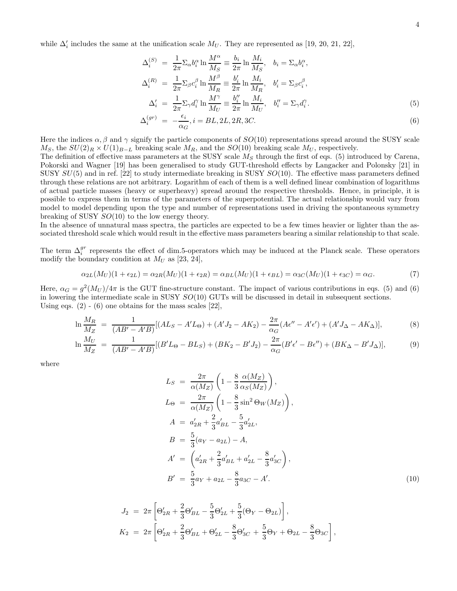while  $\Delta'_{i}$  includes the same at the unification scale  $M_{U}$ . They are represented as [19, 20, 21, 22],

$$
\Delta_i^{(S)} = \frac{1}{2\pi} \Sigma_\alpha b_i^\alpha \ln \frac{M^\alpha}{M_S} \equiv \frac{b_i}{2\pi} \ln \frac{M_i}{M_S}, \quad b_i = \Sigma_\alpha b_i^\alpha,
$$
  

$$
\Delta_i^{(R)} = \frac{1}{2\pi} \Sigma_\beta c_i^\beta \ln \frac{M^\beta}{M_R} \equiv \frac{b_i'}{2\pi} \ln \frac{M_i}{M_R}, \quad b_i' = \Sigma_\beta c_i^\beta,
$$
  

$$
\Delta_i' = \frac{1}{2\pi} \Sigma_\gamma d_i^\gamma \ln \frac{M^\gamma}{M_U} \equiv \frac{b_i''}{2\pi} \ln \frac{M_i}{M_U}, \quad b_i'' = \Sigma_\gamma d_i^\gamma.
$$
  
(5)

$$
\Delta_i^{(gr)} = -\frac{\epsilon_i}{\alpha_G}, i = BL, 2L, 2R, 3C.
$$
\n
$$
(6)
$$

Here the indices  $\alpha$ ,  $\beta$  and  $\gamma$  signify the particle components of  $SO(10)$  representations spread around the SUSY scale  $M_S$ , the  $SU(2)_R \times U(1)_{B-L}$  breaking scale  $M_R$ , and the  $SO(10)$  breaking scale  $M_U$ , respectively.

The definition of effective mass parameters at the SUSY scale  $M<sub>S</sub>$  through the first of eqs. (5) introduced by Carena, Pokorski and Wagner [19] has been generalised to study GUT-threshold effects by Langacker and Polonsky [21] in SUSY  $SU(5)$  and in ref. [22] to study intermediate breaking in SUSY  $SO(10)$ . The effective mass parameters defined through these relations are not arbitrary. Logarithm of each of them is a well defined linear combination of logarithms of actual particle masses (heavy or superheavy) spread around the respective thresholds. Hence, in principle, it is possible to express them in terms of the parameters of the superpotential. The actual relationship would vary from model to model depending upon the type and number of representations used in driving the spontaneous symmetry breaking of SUSY SO(10) to the low energy theory.

In the absence of unnatural mass spectra, the particles are expected to be a few times heavier or lighter than the associated threshold scale which would result in the effective mass parameters bearing a similar relationship to that scale.

The term  $\Delta_i^{gr}$  represents the effect of dim.5-operators which may be induced at the Planck scale. These operators modify the boundary condition at  $M_U$  as [23, 24],

$$
\alpha_{2L}(M_U)(1+\epsilon_{2L}) = \alpha_{2R}(M_U)(1+\epsilon_{2R}) = \alpha_{BL}(M_U)(1+\epsilon_{BL}) = \alpha_{3C}(M_U)(1+\epsilon_{3C}) = \alpha_G.
$$
\n<sup>(7)</sup>

Here,  $\alpha_G = g^2(M_U)/4\pi$  is the GUT fine-structure constant. The impact of various contributions in eqs. (5) and (6) in lowering the intermediate scale in SUSY  $SO(10)$  GUTs will be discussed in detail in subsequent sections. Using eqs.  $(2) - (6)$  one obtains for the mass scales  $[22]$ ,

$$
\ln \frac{M_R}{M_Z} \ = \ \frac{1}{(AB' - A'B)}[(AL_S - A'L_{\Theta}) + (A'J_2 - AK_2) - \frac{2\pi}{\alpha_G}(A\epsilon'' - A'\epsilon') + (A'J_{\Delta} - AK_{\Delta})],\tag{8}
$$

$$
\ln \frac{M_U}{M_Z} = \frac{1}{(AB' - A'B)} [(B'L_{\Theta} - BL_S) + (BK_2 - B'J_2) - \frac{2\pi}{\alpha_G} (B'\epsilon' - B\epsilon'') + (BK_{\Delta} - B'J_{\Delta})],
$$
(9)

where

$$
L_S = \frac{2\pi}{\alpha(M_Z)} \left( 1 - \frac{8}{3} \frac{\alpha(M_Z)}{\alpha_S(M_Z)} \right),
$$
  
\n
$$
L_{\Theta} = \frac{2\pi}{\alpha(M_Z)} \left( 1 - \frac{8}{3} \sin^2 \Theta_W(M_Z) \right),
$$
  
\n
$$
A = a'_{2R} + \frac{2}{3} a'_{BL} - \frac{5}{3} a'_{2L},
$$
  
\n
$$
B = \frac{5}{3} (a_Y - a_{2L}) - A,
$$
  
\n
$$
A' = \left( a'_{2R} + \frac{2}{3} a'_{BL} + a'_{2L} - \frac{8}{3} a'_{3C} \right),
$$
  
\n
$$
B' = \frac{5}{3} a_Y + a_{2L} - \frac{8}{3} a_{3C} - A'.
$$
\n(10)

,

$$
J_2 = 2\pi \left[ \Theta'_{2R} + \frac{2}{3} \Theta'_{BL} - \frac{5}{3} \Theta'_{2L} + \frac{5}{3} (\Theta_Y - \Theta_{2L}) \right],
$$
  
\n
$$
K_2 = 2\pi \left[ \Theta'_{2R} + \frac{2}{3} \Theta'_{BL} + \Theta'_{2L} - \frac{8}{3} \Theta'_{3C} + \frac{5}{3} \Theta_Y + \Theta_{2L} - \frac{8}{3} \Theta_{3C} \right]
$$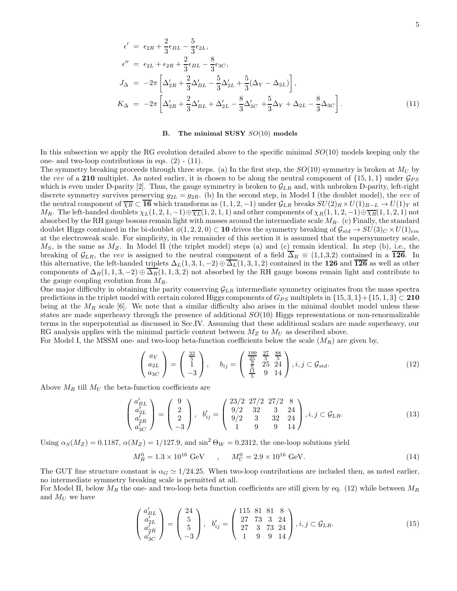$$
\epsilon' = \epsilon_{2R} + \frac{2}{3}\epsilon_{BL} - \frac{5}{3}\epsilon_{2L},
$$
  
\n
$$
\epsilon'' = \epsilon_{2L} + \epsilon_{2R} + \frac{2}{3}\epsilon_{BL} - \frac{8}{3}\epsilon_{3C},
$$
  
\n
$$
J_{\Delta} = -2\pi \left[ \Delta'_{2R} + \frac{2}{3}\Delta'_{BL} - \frac{5}{3}\Delta'_{2L} + \frac{5}{3}(\Delta_Y - \Delta_{2L}) \right],
$$
  
\n
$$
K_{\Delta} = -2\pi \left[ \Delta'_{2R} + \frac{2}{3}\Delta'_{BL} + \Delta'_{2L} - \frac{8}{3}\Delta'_{3C} + \frac{5}{3}\Delta_Y + \Delta_{2L} - \frac{8}{3}\Delta_{3C} \right].
$$
\n(11)

#### **B.** The minimal SUSY  $SO(10)$  models

In this subsection we apply the RG evolution detailed above to the specific minimal  $SO(10)$  models keeping only the one- and two-loop contributions in eqs.  $(2)$  -  $(11)$ .

The symmetry breaking proceeds through three steps. (a) In the first step, the  $SO(10)$  symmetry is broken at  $M_U$  by the vev of a 210 multiplet. As noted earlier, it is chosen to be along the neutral component of  $\{15, 1, 1\}$  under  $\mathcal{G}_{PS}$ which is even under D-parity [2]. Thus, the gauge symmetry is broken to  $\mathcal{G}_{LR}$  and, with unbroken D-parity, left-right discrete symmetry survives preserving  $g_{2L} = g_{2R}$ . (b) In the second step, in Model I (the doublet model), the vev of the neutral component of  $\overline{\chi_R} \subset \overline{\bf 16}$  which transforms as  $(1,1,2,-1)$  under  $\mathcal{G}_{LR}$  breaks  $SU(2)_R \times U(1)_{B-L} \to U(1)_Y$  at  $M_R$ . The left-handed doublets  $\chi_L(1, 2, 1, -1) \oplus \overline{\chi_L}(1, 2, 1, 1)$  and other components of  $\chi_R(1, 1, 2, -1) \oplus \overline{\chi_R}(1, 1, 2, 1)$  not absorbed by the RH gauge bosons remain light with masses around the intermediate scale  $M_R$ . (c) Finally, the standard doublet Higgs contained in the bi-doublet  $\phi(1, 2, 2, 0) \subset \mathbf{10}$  drives the symmetry breaking of  $\mathcal{G}_{std} \to SU(3)_{C} \times U(1)_{em}$ at the electroweak scale. For simplicity, in the remainder of this section it is assumed that the supersymmetry scale,  $M<sub>S</sub>$ , is the same as  $M<sub>Z</sub>$ . In Model II (the triplet model) steps (a) and (c) remain identical. In step (b), i.e., the breaking of  $\mathcal{G}_{LR}$ , the vev is assigned to the neutral component of a field  $\overline{\Delta}_R \equiv (1,1,3,2)$  contained in a 126. In this alternative, the left-handed triplets  $\Delta_L(1,3,1,-2) \oplus \overline{\Delta_L}(1,3,1,2)$  contained in the 126 and  $\overline{126}$  as well as other components of  $\Delta_R(1, 1, 3, -2) \oplus \Delta_R(1, 1, 3, 2)$  not absorbed by the RH gauge bosons remain light and contribute to the gauge coupling evolution from  $M_R$ .

One major difficulty in obtaining the parity conserving  $\mathcal{G}_{LR}$  intermediate symmetry originates from the mass spectra predictions in the triplet model with certain colored Higgs components of  $G_{PS}$  multiplets in  $\{15, 3, 1\} + \{15, 1, 3\} \subset 210$ being at the  $M_R$  scale [6]. We note that a similar difficulty also arises in the minimal doublet model unless these states are made superheavy through the presence of additional  $SO(10)$  Higgs representations or non-renormalizable terms in the superpotential as discussed in Sec.IV. Assuming that these additional scalars are made superheavy, our RG analysis applies with the minimal particle content between  $M_Z$  to  $M_U$  as described above.

For Model I, the MSSM one- and two-loop beta-function coefficients below the scale  $(M_R)$  are given by,

$$
\begin{pmatrix} a_Y \\ a_{2L} \\ a_{3C} \end{pmatrix} = \begin{pmatrix} \frac{33}{5} \\ 1 \\ -3 \end{pmatrix}, \quad b_{ij} = \begin{pmatrix} \frac{199}{25} & \frac{27}{5} & \frac{88}{5} \\ \frac{19}{5} & 25 & 24 \\ \frac{11}{5} & 9 & 14 \end{pmatrix}, i, j \subset \mathcal{G}_{std}.
$$
 (12)

Above  $M_R$  till  $M_U$  the beta-function coefficients are

$$
\begin{pmatrix} a'_{BL} \\ a'_{2L} \\ a'_{3C} \\ a'_{3C} \end{pmatrix} = \begin{pmatrix} 9 \\ 2 \\ 2 \\ -3 \end{pmatrix}, \quad b'_{ij} = \begin{pmatrix} 23/2 & 27/2 & 27/2 & 8 \\ 9/2 & 32 & 3 & 24 \\ 9/2 & 3 & 32 & 24 \\ 1 & 9 & 9 & 14 \end{pmatrix}, i, j \in \mathcal{G}_{LR}.
$$
 (13)

Using  $\alpha_S(M_Z) = 0.1187$ ,  $\alpha(M_Z) = 1/127.9$ , and  $\sin^2 \Theta_W = 0.2312$ , the one-loop solutions yield

$$
M_R^0 = 1.3 \times 10^{16} \text{ GeV} \qquad , \qquad M_U^0 = 2.9 \times 10^{16} \text{ GeV}. \tag{14}
$$

The GUT fine structure constant is  $\alpha_G \simeq 1/24.25$ . When two-loop contributions are included then, as noted earlier, no intermediate symmetry breaking scale is permitted at all.

For Model II, below  $M_R$  the one- and two-loop beta function coefficients are still given by eq. (12) while between  $M_R$ and  $M_U$  we have

$$
\begin{pmatrix} a'_{BL} \\ a'_{2L} \\ a'_{3C} \\ a'_{3C} \end{pmatrix} = \begin{pmatrix} 24 \\ 5 \\ 5 \\ -3 \end{pmatrix}, \quad b'_{ij} = \begin{pmatrix} 115 & 81 & 81 & 8 \\ 27 & 73 & 3 & 24 \\ 27 & 3 & 73 & 24 \\ 1 & 9 & 9 & 14 \end{pmatrix}, i, j \in \mathcal{G}_{LR}.
$$
 (15)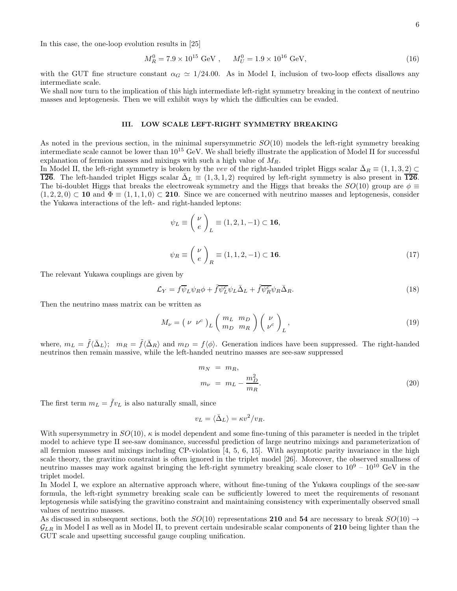In this case, the one-loop evolution results in [25]

$$
M_R^0 = 7.9 \times 10^{15} \text{ GeV}, \qquad M_U^0 = 1.9 \times 10^{16} \text{ GeV}, \tag{16}
$$

with the GUT fine structure constant  $\alpha_G \simeq 1/24.00$ . As in Model I, inclusion of two-loop effects disallows any intermediate scale.

We shall now turn to the implication of this high intermediate left-right symmetry breaking in the context of neutrino masses and leptogenesis. Then we will exhibit ways by which the difficulties can be evaded.

## III. LOW SCALE LEFT-RIGHT SYMMETRY BREAKING

As noted in the previous section, in the minimal supersymmetric  $SO(10)$  models the left-right symmetry breaking intermediate scale cannot be lower than 10<sup>15</sup> GeV. We shall briefly illustrate the application of Model II for successful explanation of fermion masses and mixings with such a high value of  $M_R$ .

In Model II, the left-right symmetry is broken by the vev of the right-handed triplet Higgs scalar  $\bar{\Delta}_R \equiv (1, 1, 3, 2) \subset$ **126.** The left-handed triplet Higgs scalar  $\overline{\Delta}_L \equiv (1,3,1,2)$  required by left-right symmetry is also present in 126. The bi-doublet Higgs that breaks the electroweak symmetry and the Higgs that breaks the  $SO(10)$  group are  $\phi \equiv$  $(1, 2, 2, 0) \subset \mathbf{10}$  and  $\Phi \equiv (1, 1, 1, 0) \subset \mathbf{210}$ . Since we are concerned with neutrino masses and leptogenesis, consider the Yukawa interactions of the left- and right-handed leptons:

$$
\psi_L \equiv \begin{pmatrix} \nu \\ e \end{pmatrix}_L \equiv (1, 2, 1, -1) \subset \mathbf{16},
$$
  

$$
\psi_R \equiv \begin{pmatrix} \nu \\ e \end{pmatrix}_R \equiv (1, 1, 2, -1) \subset \mathbf{16}.
$$
 (17)

The relevant Yukawa couplings are given by

$$
\mathcal{L}_Y = f \overline{\psi}_L \psi_R \phi + \tilde{f} \overline{\psi_L^c} \psi_L \overline{\Delta}_L + \tilde{f} \overline{\psi_R^c} \psi_R \overline{\Delta}_R.
$$
\n(18)

Then the neutrino mass matrix can be written as

$$
M_{\nu} = \left(\nu \ \nu^{c}\right)_{L} \left(\begin{array}{c} m_{L} & m_{D} \\ m_{D} & m_{R} \end{array}\right) \left(\begin{array}{c} \nu \\ \nu^{c} \end{array}\right)_{L},\tag{19}
$$

where,  $m_L = \tilde{f}(\bar{\Delta}_L);$   $m_R = \tilde{f}(\bar{\Delta}_R)$  and  $m_D = f(\phi)$ . Generation indices have been suppressed. The right-handed neutrinos then remain massive, while the left-handed neutrino masses are see-saw suppressed

$$
m_N = m_R,
$$
  
\n
$$
m_{\nu} = m_L - \frac{m_D^2}{m_R}.
$$
\n(20)

The first term  $m_L = \tilde{f}v_L$  is also naturally small, since

$$
v_L = \langle \bar{\Delta}_L \rangle = \kappa v^2 / v_R.
$$

With supersymmetry in  $SO(10)$ ,  $\kappa$  is model dependent and some fine-tuning of this parameter is needed in the triplet model to achieve type II see-saw dominance, successful prediction of large neutrino mixings and parameterization of all fermion masses and mixings including CP-violation [4, 5, 6, 15]. With asymptotic parity invariance in the high scale theory, the gravitino constraint is often ignored in the triplet model [26]. Moreover, the observed smallness of neutrino masses may work against bringing the left-right symmetry breaking scale closer to  $10^9 - 10^{10}$  GeV in the triplet model.

In Model I, we explore an alternative approach where, without fine-tuning of the Yukawa couplings of the see-saw formula, the left-right symmetry breaking scale can be sufficiently lowered to meet the requirements of resonant leptogenesis while satisfying the gravitino constraint and maintaining consistency with experimentally observed small values of neutrino masses.

As discussed in subsequent sections, both the  $SO(10)$  representations 210 and 54 are necessary to break  $SO(10) \rightarrow$  $\mathcal{G}_{LR}$  in Model I as well as in Model II, to prevent certain undesirable scalar components of 210 being lighter than the GUT scale and upsetting successful gauge coupling unification.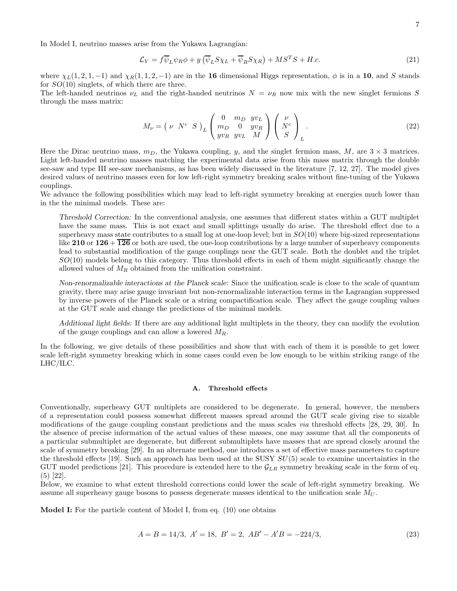In Model I, neutrino masses arise from the Yukawa Lagrangian:

$$
\mathcal{L}_Y = f \overline{\psi}_L \psi_R \phi + y \left( \overline{\psi}_L S \chi_L + \overline{\psi}_R S \chi_R \right) + M S^T S + H.c.
$$
\n(21)

where  $\chi_L(1, 2, 1, -1)$  and  $\chi_R(1, 1, 2, -1)$  are in the 16 dimensional Higgs representation,  $\phi$  is in a 10, and S stands for  $SO(10)$  singlets, of which there are three.

The left-handed neutrinos  $\nu_L$  and the right-handed neutrinos  $N = \nu_R$  now mix with the new singlet fermions S through the mass matrix:

$$
M_{\nu} = \left(\begin{array}{cc} \nu & N^c & S \end{array}\right)_L \left(\begin{array}{ccc} 0 & m_D & yv_L \\ m_D & 0 & yv_R \\ yv_R & yv_L & M \end{array}\right) \left(\begin{array}{c} \nu \\ N^c \\ S \end{array}\right)_L \tag{22}
$$

Here the Dirac neutrino mass,  $m_D$ , the Yukawa coupling, y, and the singlet fermion mass, M, are  $3 \times 3$  matrices. Light left-handed neutrino masses matching the experimental data arise from this mass matrix through the double see-saw and type III see-saw mechanisms, as has been widely discussed in the literature [7, 12, 27]. The model gives desired values of neutrino masses even for low left-right symmetry breaking scales without fine-tuning of the Yukawa couplings.

We advance the following possibilities which may lead to left-right symmetry breaking at energies much lower than in the the minimal models. These are:

Threshold Correction: In the conventional analysis, one assumes that different states within a GUT multiplet have the same mass. This is not exact and small splittings usually do arise. The threshold effect due to a superheavy mass state contributes to a small log at one-loop level; but in  $SO(10)$  where big-sized representations like 210 or  $126 + 126$  or both are used, the one-loop contributions by a large number of superheavy components lead to substantial modification of the gauge couplings near the GUT scale. Both the doublet and the triplet  $SO(10)$  models belong to this category. Thus threshold effects in each of them might significantly change the allowed values of  $M_R$  obtained from the unification constraint.

Non-renormalizable interactions at the Planck scale: Since the unification scale is close to the scale of quantum gravity, there may arise gauge invariant but non-renormalizable interaction terms in the Lagrangian suppressed by inverse powers of the Planck scale or a string compactification scale. They affect the gauge coupling values at the GUT scale and change the predictions of the minimal models.

Additional light fields: If there are any additional light multiplets in the theory, they can modify the evolution of the gauge couplings and can allow a lowered  $M_R$ .

In the following, we give details of these possibilities and show that with each of them it is possible to get lower scale left-right symmetry breaking which in some cases could even be low enough to be within striking range of the LHC/ILC.

## A. Threshold effects

Conventionally, superheavy GUT multiplets are considered to be degenerate. In general, however, the members of a representation could possess somewhat different masses spread around the GUT scale giving rise to sizable modifications of the gauge coupling constant predictions and the mass scales via threshold effects [28, 29, 30]. In the absence of precise information of the actual values of these masses, one may assume that all the components of a particular submultiplet are degenerate, but different submultiplets have masses that are spread closely around the scale of symmetry breaking [29]. In an alternate method, one introduces a set of effective mass parameters to capture the threshold effects [19]. Such an approach has been used at the SUSY  $SU(5)$  scale to examine uncertainties in the GUT model predictions [21]. This procedure is extended here to the  $\mathcal{G}_{LR}$  symmetry breaking scale in the form of eq. (5) [22].

Below, we examine to what extent threshold corrections could lower the scale of left-right symmetry breaking. We assume all superheavy gauge bosons to possess degenerate masses identical to the unification scale  $M_U$ .

Model I: For the particle content of Model I, from eq. (10) one obtains

$$
A = B = 14/3, A' = 18, B' = 2, AB' - A'B = -224/3,
$$
\n(23)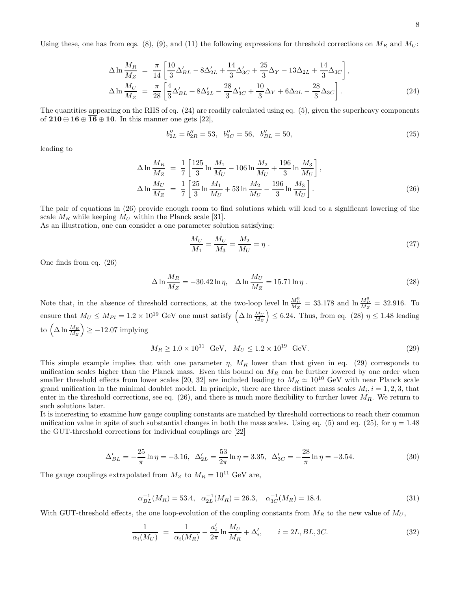Using these, one has from eqs. (8), (9), and (11) the following expressions for threshold corrections on  $M_R$  and  $M_U$ :

$$
\Delta \ln \frac{M_R}{M_Z} = \frac{\pi}{14} \left[ \frac{10}{3} \Delta'_{BL} - 8 \Delta'_{2L} + \frac{14}{3} \Delta'_{3C} + \frac{25}{3} \Delta_Y - 13 \Delta_{2L} + \frac{14}{3} \Delta_{3C} \right],
$$
  
\n
$$
\Delta \ln \frac{M_U}{M_Z} = \frac{\pi}{28} \left[ \frac{4}{3} \Delta'_{BL} + 8 \Delta'_{2L} - \frac{28}{3} \Delta'_{3C} + \frac{10}{3} \Delta_Y + 6 \Delta_{2L} - \frac{28}{3} \Delta_{3C} \right].
$$
\n(24)

The quantities appearing on the RHS of eq. (24) are readily calculated using eq. (5), given the superheavy components of  $210 \oplus 16 \oplus \overline{16} \oplus 10$ . In this manner one gets [22],

$$
b_{2L}'' = b_{2R}'' = 53, \quad b_{3C}'' = 56, \quad b_{BL}'' = 50,\tag{25}
$$

leading to

$$
\Delta \ln \frac{M_R}{M_Z} = \frac{1}{7} \left[ \frac{125}{3} \ln \frac{M_1}{M_U} - 106 \ln \frac{M_2}{M_U} + \frac{196}{3} \ln \frac{M_3}{M_U} \right],
$$
  
\n
$$
\Delta \ln \frac{M_U}{M_Z} = \frac{1}{7} \left[ \frac{25}{3} \ln \frac{M_1}{M_U} + 53 \ln \frac{M_2}{M_U} - \frac{196}{3} \ln \frac{M_3}{M_U} \right].
$$
\n(26)

The pair of equations in (26) provide enough room to find solutions which will lead to a significant lowering of the scale  $M_R$  while keeping  $M_U$  within the Planck scale [31].

As an illustration, one can consider a one parameter solution satisfying:

$$
\frac{M_U}{M_1} = \frac{M_U}{M_3} = \frac{M_2}{M_U} = \eta \tag{27}
$$

One finds from eq. (26)

$$
\Delta \ln \frac{M_R}{M_Z} = -30.42 \ln \eta, \quad \Delta \ln \frac{M_U}{M_Z} = 15.71 \ln \eta \; . \tag{28}
$$

Note that, in the absence of threshold corrections, at the two-loop level  $\ln \frac{M_U^0}{M_Z} = 33.178$  and  $\ln \frac{M_R^0}{M_Z} = 32.916$ . To ensure that  $M_U \le M_{Pl} = 1.2 \times 10^{19}$  GeV one must satisfy  $\left(\Delta \ln \frac{M_U}{M_Z}\right) \le 6.24$ . Thus, from eq. (28)  $\eta \le 1.48$  leading to  $\left(\Delta \ln \frac{M_R}{M_Z}\right) \geq -12.07$  implying

$$
M_R \ge 1.0 \times 10^{11} \text{ GeV}, \quad M_U \le 1.2 \times 10^{19} \text{ GeV}.
$$
 (29)

This simple example implies that with one parameter  $\eta$ ,  $M_R$  lower than that given in eq. (29) corresponds to unification scales higher than the Planck mass. Even this bound on  $M_R$  can be further lowered by one order when smaller threshold effects from lower scales [20, 32] are included leading to  $M_R \simeq 10^{10}$  GeV with near Planck scale grand unification in the minimal doublet model. In principle, there are three distinct mass scales  $M_i$ ,  $i = 1, 2, 3$ , that enter in the threshold corrections, see eq.  $(26)$ , and there is much more flexibility to further lower  $M_R$ . We return to such solutions later.

It is interesting to examine how gauge coupling constants are matched by threshold corrections to reach their common unification value in spite of such substantial changes in both the mass scales. Using eq. (5) and eq. (25), for  $\eta = 1.48$ the GUT-threshold corrections for individual couplings are [22]

$$
\Delta'_{BL} = -\frac{25}{\pi} \ln \eta = -3.16, \quad \Delta'_{2L} = \frac{53}{2\pi} \ln \eta = 3.35, \quad \Delta'_{3C} = -\frac{28}{\pi} \ln \eta = -3.54. \tag{30}
$$

The gauge couplings extrapolated from  $M_Z$  to  $M_R = 10^{11}$  GeV are,

$$
\alpha_{BL}^{-1}(M_R) = 53.4, \quad \alpha_{2L}^{-1}(M_R) = 26.3, \quad \alpha_{3C}^{-1}(M_R) = 18.4. \tag{31}
$$

With GUT-threshold effects, the one loop-evolution of the coupling constants from  $M_R$  to the new value of  $M_U$ ,

$$
\frac{1}{\alpha_i(M_U)} = \frac{1}{\alpha_i(M_R)} - \frac{a_i'}{2\pi} \ln \frac{M_U}{M_R} + \Delta_i', \qquad i = 2L, BL, 3C.
$$
\n(32)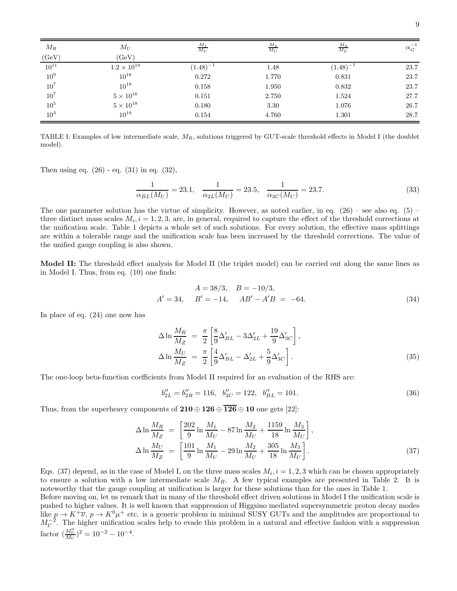| $\mathcal{M}_{R}$ | $M_U$                | $\frac{M_1}{M_U}$ | $\frac{M_2}{M_U}$ | $\frac{M_3}{M_U}$ | $\alpha_G^{-1}$ |
|-------------------|----------------------|-------------------|-------------------|-------------------|-----------------|
| (GeV)             | (GeV)                |                   |                   |                   |                 |
| $10^{11}$         | $1.2 \times 10^{19}$ | $(1.48)^{-1}$     | 1.48              | $(1.48)^{-1}$     | 23.7            |
| $10^9$            | $10^{18}$            | 0.272             | 1.770             | 0.831             | 23.7            |
| $10^7$            | $10^{18}$            | 0.158             | 1.950             | 0.832             | 23.7            |
| 10 <sup>7</sup>   | $5\times10^{16}$     | 0.151             | 2.750             | 1.524             | 27.7            |
| $10^5\,$          | $5\times10^{18}$     | 0.180             | 3.30              | 1.076             | 26.7            |
| $10^3\,$          | $10^{19}$            | 0.154             | 4.760             | 1.301             | 28.7            |

TABLE I: Examples of low intermediate scale,  $M_R$ , solutions triggered by GUT-scale threshold effects in Model I (the doublet model).

Then using eq.  $(26)$  - eq.  $(31)$  in eq.  $(32)$ ,

$$
\frac{1}{\alpha_{BL}(M_U)} = 23.1, \quad \frac{1}{\alpha_{2L}(M_U)} = 23.5, \quad \frac{1}{\alpha_{3C}(M_U)} = 23.7. \tag{33}
$$

The one parameter solution has the virtue of simplicity. However, as noted earlier, in eq.  $(26)$  – see also eq. (5) – three distinct mass scales  $M_i$ ,  $i = 1, 2, 3$ , are, in general, required to capture the effect of the threshold corrections at the unification scale. Table 1 depicts a whole set of such solutions. For every solution, the effective mass splittings are within a tolerable range and the unification scale has been increased by the threshold corrections. The value of the unified gauge coupling is also shown.

Model II: The threshold effect analysis for Model II (the triplet model) can be carried out along the same lines as in Model I. Thus, from eq. (10) one finds:

$$
A = 38/3, \quad B = -10/3,A' = 34, \quad B' = -14, \quad AB' - A'B = -64.
$$
 (34)

In place of eq. (24) one now has

$$
\Delta \ln \frac{M_R}{M_Z} = \frac{\pi}{2} \left[ \frac{8}{9} \Delta'_{BL} - 3\Delta'_{2L} + \frac{19}{9} \Delta'_{3C} \right],
$$
  
\n
$$
\Delta \ln \frac{M_U}{M_Z} = \frac{\pi}{2} \left[ \frac{4}{9} \Delta'_{BL} - \Delta'_{2L} + \frac{5}{9} \Delta'_{3C} \right].
$$
\n(35)

The one-loop beta-function coefficients from Model II required for an evaluation of the RHS are:

$$
b_{2L}^{"} = b_{2R}^{"} = 116, \ \ b_{3C}^{"} = 122, \ \ b_{BL}^{"} = 101. \tag{36}
$$

Thus, from the superheavy components of  $210 \oplus 126 \oplus \overline{126} \oplus 10$  one gets [22]:

$$
\Delta \ln \frac{M_R}{M_Z} = \left[ \frac{202}{9} \ln \frac{M_1}{M_U} - 87 \ln \frac{M_2}{M_U} + \frac{1159}{18} \ln \frac{M_3}{M_U} \right],
$$
  
\n
$$
\Delta \ln \frac{M_U}{M_Z} = \left[ \frac{101}{9} \ln \frac{M_1}{M_U} - 29 \ln \frac{M_2}{M_U} + \frac{305}{18} \ln \frac{M_3}{M_U} \right].
$$
\n(37)

Eqs. (37) depend, as in the case of Model I, on the three mass scales  $M_i$ ,  $i = 1, 2, 3$  which can be chosen appropriately to ensure a solution with a low intermediate scale  $M_R$ . A few typical examples are presented in Table 2. It is noteworthy that the gauge coupling at unification is larger for these solutions than for the ones in Table 1.

Before moving on, let us remark that in many of the threshold effect driven solutions in Model I the unification scale is pushed to higher values. It is well known that suppression of Higgsino mediated supersymmetric proton decay modes like  $p \to K^+\overline{\nu}$ ,  $p \to K^0\mu^+$  etc. is a generic problem in minimal SUSY GUTs and the amplitudes are proportional to  $M_U^{-2}$ . The higher unification scales help to evade this problem in a natural and effective fashion with a suppression factor  $\left(\frac{M_U^0}{M_U}\right)^2 = 10^{-2} - 10^{-4}$ .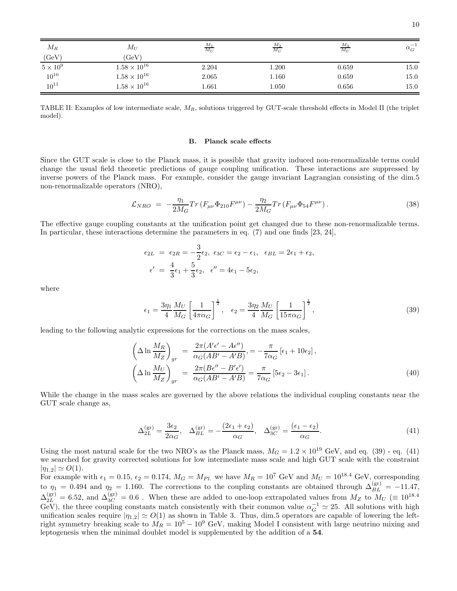| $M_R$         | $M_U$                 | $M_1$<br>$M_U$ | $M_2$<br>$\overline{M_U}$ | $\frac{M_3}{M_U}$ | $\alpha_G^{-1}$ |
|---------------|-----------------------|----------------|---------------------------|-------------------|-----------------|
| (GeV)         | (GeV)                 |                |                           |                   |                 |
| $5\times10^9$ | $1.58 \times 10^{16}$ | 2.204          | 1.200                     | 0.659             | $15.0\,$        |
| $10^{10}$     | $1.58\times10^{16}$   | 2.065          | 1.160                     | 0.659             | 15.0            |
| $10^{11}$     | $1.58\times10^{16}$   | 1.661          | 1.050                     | 0.656             | 15.0            |

TABLE II: Examples of low intermediate scale,  $M_R$ , solutions triggered by GUT-scale threshold effects in Model II (the triplet model).

#### B. Planck scale effects

Since the GUT scale is close to the Planck mass, it is possible that gravity induced non-renormalizable terms could change the usual field theoretic predictions of gauge coupling unification. These interactions are suppressed by inverse powers of the Planck mass. For example, consider the gauge invariant Lagrangian consisting of the dim.5 non-renormalizable operators (NRO),

$$
\mathcal{L}_{NRO} = -\frac{\eta_1}{2M_G} Tr(F_{\mu\nu} \Phi_{210} F^{\mu\nu}) - \frac{\eta_2}{2M_G} Tr(F_{\mu\nu} \Phi_{54} F^{\mu\nu}). \tag{38}
$$

The effective gauge coupling constants at the unification point get changed due to these non-renormalizable terms. In particular, these interactions determine the parameters in eq. (7) and one finds [23, 24],

$$
\epsilon_{2L} = \epsilon_{2R} = -\frac{3}{2}\epsilon_2, \ \epsilon_{3C} = \epsilon_2 - \epsilon_1, \ \ \epsilon_{BL} = 2\epsilon_1 + \epsilon_2,
$$
  
 $\epsilon' = \frac{4}{3}\epsilon_1 + \frac{5}{3}\epsilon_2, \ \epsilon'' = 4\epsilon_1 - 5\epsilon_2,$ 

where

$$
\epsilon_1 = \frac{3\eta_1}{4} \frac{M_U}{M_G} \left[ \frac{1}{4\pi\alpha_G} \right]^{\frac{1}{2}}, \quad \epsilon_2 = \frac{3\eta_2}{4} \frac{M_U}{M_G} \left[ \frac{1}{15\pi\alpha_G} \right]^{\frac{1}{2}},\tag{39}
$$

leading to the following analytic expressions for the corrections on the mass scales,

$$
\left(\Delta \ln \frac{M_R}{M_Z}\right)_{gr} = \frac{2\pi (A'\epsilon' - A\epsilon'')}{\alpha_G (AB' - A'B)}, = -\frac{\pi}{7\alpha_G} [\epsilon_1 + 10\epsilon_2],
$$
\n
$$
\left(\Delta \ln \frac{M_U}{M_Z}\right)_{gr} = \frac{2\pi (B\epsilon'' - B'\epsilon')}{\alpha_G (AB' - A'B)} = \frac{\pi}{7\alpha_G} [5\epsilon_2 - 3\epsilon_1].
$$
\n(40)

While the change in the mass scales are governed by the above relations the individual coupling constants near the GUT scale change as,

$$
\Delta_{2L}^{(\text{gr})} = \frac{3\epsilon_2}{2\alpha_G}, \quad \Delta_{BL}^{(\text{gr})} = -\frac{(2\epsilon_1 + \epsilon_2)}{\alpha_G}, \quad \Delta_{3C}^{(\text{gr})} = \frac{(\epsilon_1 - \epsilon_2)}{\alpha_G}.
$$
\n(41)

Using the most natural scale for the two NRO's as the Planck mass,  $M_G = 1.2 \times 10^{19}$  GeV, and eq. (39) - eq. (41) we searched for gravity corrected solutions for low intermediate mass scale and high GUT scale with the constraint  $|\eta_{1,2}| \simeq O(1).$ 

For example with  $\epsilon_1 = 0.15$ ,  $\epsilon_2 = 0.174$ ,  $M_G = M_{Pl}$  we have  $M_R = 10^7$  GeV and  $M_U = 10^{18.4}$  GeV, corresponding to  $\eta_1 = 0.494$  and  $\eta_2 = 1.160$ . The corrections to the coupling constants are obtained through  $\Delta_{BL}^{(\text{gr})} = -11.47$ ,  $\Delta_{2L}^{(\text{gr})} = 6.52$ , and  $\Delta_{3C}^{(\text{gr})} = 0.6$ . When these are added to one-loop extrapolated values from  $M_Z$  to  $M_U \ (\equiv 10^{18.4}$ GeV), the three coupling constants match consistently with their common value  $\alpha_G^{-1} \simeq 25$ . All solutions with high unification scales require  $|\eta_{1,2}| \simeq O(1)$  as shown in Table 3. Thus, dim.5 operators are capable of lowering the leftright symmetry breaking scale to  $M_R = 10^5 - 10^9$  GeV, making Model I consistent with large neutrino mixing and leptogenesis when the minimal doublet model is supplemented by the addition of a 54.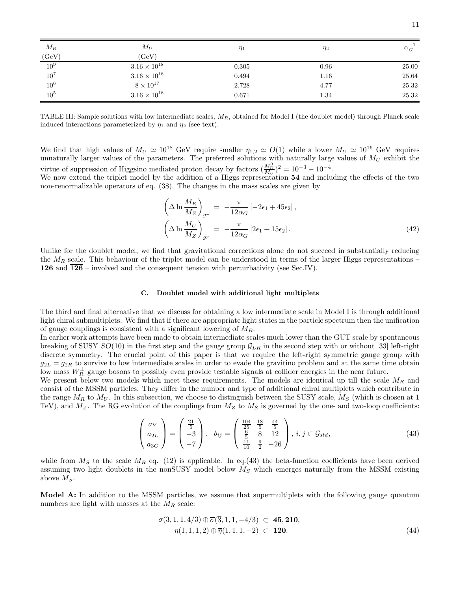| $\mathcal{M}_R$   | $M_U$                 | $\eta_1$ | $\eta_2$ | $\alpha _G^{-1}$ |
|-------------------|-----------------------|----------|----------|------------------|
| (GeV)             | (GeV)                 |          |          |                  |
| $\overline{10^9}$ | $3.16 \times 10^{18}$ | 0.305    | 0.96     | 25.00            |
| $10^7\,$          | $3.16\times10^{18}$   | 0.494    | 1.16     | 25.64            |
| $10^6$            | $8\times10^{17}$      | 2.728    | 4.77     | 25.32            |
| $10^5\,$          | $3.16 \times 10^{18}$ | 0.671    | 1.34     | 25.32            |

TABLE III: Sample solutions with low intermediate scales,  $M_R$ , obtained for Model I (the doublet model) through Planck scale induced interactions parameterized by  $\eta_1$  and  $\eta_2$  (see text).

We find that high values of  $M_U \simeq 10^{18}$  GeV require smaller  $\eta_{1,2} \simeq O(1)$  while a lower  $M_U \simeq 10^{16}$  GeV requires unnaturally larger values of the parameters. The preferred solutions with naturally large values of  $M_U$  exhibit the virtue of suppression of Higgsino mediated proton decay by factors  $\left(\frac{M_U^0}{M_U}\right)^2 = 10^{-3} - 10^{-4}$ .

We now extend the triplet model by the addition of a Higgs representation 54 and including the effects of the two non-renormalizable operators of eq. (38). The changes in the mass scales are given by

$$
\left(\Delta \ln \frac{M_R}{M_Z}\right)_{gr} = -\frac{\pi}{12\alpha_G} \left[-2\epsilon_1 + 45\epsilon_2\right],
$$
\n
$$
\left(\Delta \ln \frac{M_U}{M_Z}\right)_{gr} = -\frac{\pi}{12\alpha_G} \left[2\epsilon_1 + 15\epsilon_2\right].
$$
\n(42)

Unlike for the doublet model, we find that gravitational corrections alone do not succeed in substantially reducing the  $M_R$  scale. This behaviour of the triplet model can be understood in terms of the larger Higgs representations – 126 and  $\overline{126}$  – involved and the consequent tension with perturbativity (see Sec.IV).

#### C. Doublet model with additional light multiplets

The third and final alternative that we discuss for obtaining a low intermediate scale in Model I is through additional light chiral submultiplets. We find that if there are appropriate light states in the particle spectrum then the unification of gauge couplings is consistent with a significant lowering of  $M_R$ .

In earlier work attempts have been made to obtain intermediate scales much lower than the GUT scale by spontaneous breaking of SUSY  $SO(10)$  in the first step and the gauge group  $\mathcal{G}_{LR}$  in the second step with or without [33] left-right discrete symmetry. The crucial point of this paper is that we require the left-right symmetric gauge group with  $g_{2L} = g_{2R}$  to survive to low intermediate scales in order to evade the gravitino problem and at the same time obtain low mass  $W_R^{\pm}$  gauge bosons to possibly even provide testable signals at collider energies in the near future.

We present below two models which meet these requirements. The models are identical up till the scale  $M_R$  and consist of the MSSM particles. They differ in the number and type of additional chiral multiplets which contribute in the range  $M_R$  to  $M_U$ . In this subsection, we choose to distinguish between the SUSY scale,  $M_S$  (which is chosen at 1 TeV), and  $M_Z$ . The RG evolution of the couplings from  $M_Z$  to  $M_S$  is governed by the one- and two-loop coefficients:

$$
\begin{pmatrix} a_Y \\ a_{2L} \\ a_{3C} \end{pmatrix} = \begin{pmatrix} \frac{21}{5} \\ -3 \\ -7 \end{pmatrix}, \quad b_{ij} = \begin{pmatrix} \frac{104}{25} & \frac{18}{5} & \frac{44}{5} \\ \frac{6}{5} & 8 & 12 \\ \frac{11}{10} & \frac{9}{2} & -26 \end{pmatrix}, \quad i, j \in \mathcal{G}_{std}, \tag{43}
$$

while from  $M<sub>S</sub>$  to the scale  $M<sub>R</sub>$  eq. (12) is applicable. In eq.(43) the beta-function coefficients have been derived assuming two light doublets in the nonSUSY model below  $M<sub>S</sub>$  which emerges naturally from the MSSM existing above  $M_s$ .

Model A: In addition to the MSSM particles, we assume that supermultiplets with the following gauge quantum numbers are light with masses at the  $M_R$  scale:

$$
\sigma(3, 1, 1, 4/3) \oplus \overline{\sigma}(3, 1, 1, -4/3) \subset \mathbf{45, 210},
$$
  
\n
$$
\eta(1, 1, 1, 2) \oplus \overline{\eta}(1, 1, 1, -2) \subset \mathbf{120}.
$$
\n(44)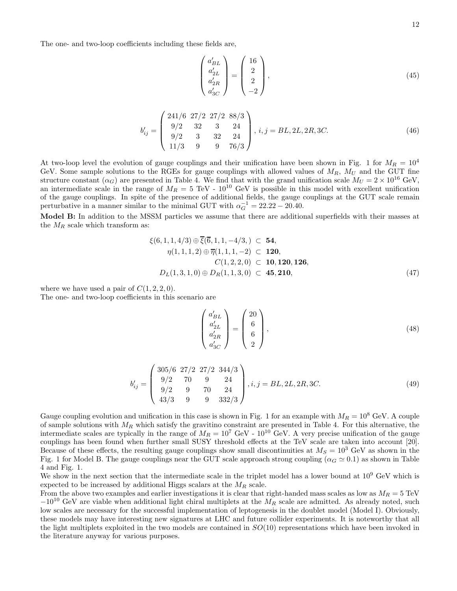The one- and two-loop coefficients including these fields are,

$$
\begin{pmatrix} a'_{BL} \\ a'_{2L} \\ a'_{3C} \\ a'_{3C} \end{pmatrix} = \begin{pmatrix} 16 \\ 2 \\ 2 \\ -2 \end{pmatrix},
$$
\n(45)

$$
b'_{ij} = \begin{pmatrix} 241/6 & 27/2 & 27/2 & 88/3 \\ 9/2 & 32 & 3 & 24 \\ 9/2 & 3 & 32 & 24 \\ 11/3 & 9 & 9 & 76/3 \end{pmatrix}, i, j = BL, 2L, 2R, 3C.
$$
 (46)

At two-loop level the evolution of gauge couplings and their unification have been shown in Fig. 1 for  $M_R = 10^4$ GeV. Some sample solutions to the RGEs for gauge couplings with allowed values of  $M_R$ ,  $M_U$  and the GUT fine structure constant  $(\alpha_G)$  are presented in Table 4. We find that with the grand unification scale  $M_U = 2 \times 10^{16}$  GeV, an intermediate scale in the range of  $M_R = 5$  TeV -  $10^{10}$  GeV is possible in this model with excellent unification of the gauge couplings. In spite of the presence of additional fields, the gauge couplings at the GUT scale remain perturbative in a manner similar to the minimal GUT with  $\alpha_G^{-1} = 22.22 - 20.40$ .

Model B: In addition to the MSSM particles we assume that there are additional superfields with their masses at the  $M_R$  scale which transform as:

$$
\xi(6, 1, 1, 4/3) \oplus \overline{\xi(6, 1, 1, -4/3, )} \subset 54,\eta(1, 1, 1, 2) \oplus \overline{\eta}(1, 1, 1, -2) \subset 120,C(1, 2, 2, 0) \subset 10, 120, 126,DL(1, 3, 1, 0) \oplus DR(1, 1, 3, 0) \subset 45, 210,
$$
\n(47)

where we have used a pair of  $C(1, 2, 2, 0)$ .

The one- and two-loop coefficients in this scenario are

$$
\begin{pmatrix} a'_{BL} \\ a'_{2L} \\ a'_{3C} \\ a'_{3C} \end{pmatrix} = \begin{pmatrix} 20 \\ 6 \\ 6 \\ 2 \end{pmatrix},
$$
\n(48)

$$
b'_{ij} = \begin{pmatrix} 305/6 & 27/2 & 27/2 & 344/3 \\ 9/2 & 70 & 9 & 24 \\ 9/2 & 9 & 70 & 24 \\ 43/3 & 9 & 9 & 332/3 \end{pmatrix}, i, j = BL, 2L, 2R, 3C.
$$
 (49)

Gauge coupling evolution and unification in this case is shown in Fig. 1 for an example with  $M_R = 10^8$  GeV. A couple of sample solutions with  $M_R$  which satisfy the gravitino constraint are presented in Table 4. For this alternative, the intermediate scales are typically in the range of  $M_R = 10^7$  GeV -  $10^{10}$  GeV. A very precise unification of the gauge couplings has been found when further small SUSY threshold effects at the TeV scale are taken into account [20]. Because of these effects, the resulting gauge couplings show small discontinuities at  $M_S = 10^3$  GeV as shown in the Fig. 1 for Model B. The gauge couplings near the GUT scale approach strong coupling ( $\alpha_G \simeq 0.1$ ) as shown in Table 4 and Fig. 1.

We show in the next section that the intermediate scale in the triplet model has a lower bound at  $10^9$  GeV which is expected to be increased by additional Higgs scalars at the  $M_R$  scale.

From the above two examples and earlier investigations it is clear that right-handed mass scales as low as  $M_R = 5 \text{ TeV}$  $-10^{10}$  GeV are viable when additional light chiral multiplets at the  $M_R$  scale are admitted. As already noted, such low scales are necessary for the successful implementation of leptogenesis in the doublet model (Model I). Obviously, these models may have interesting new signatures at LHC and future collider experiments. It is noteworthy that all the light multiplets exploited in the two models are contained in  $SO(10)$  representations which have been invoked in the literature anyway for various purposes.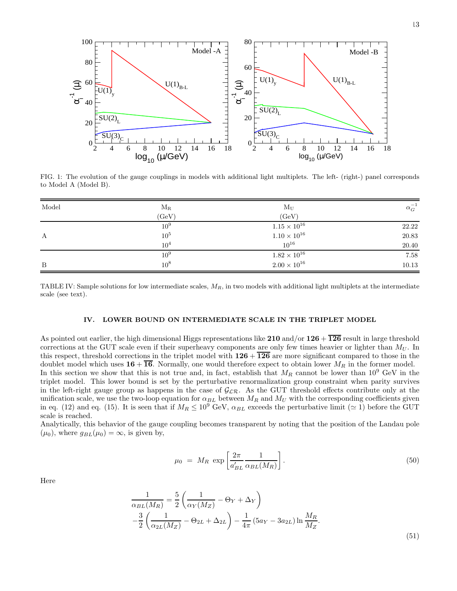

FIG. 1: The evolution of the gauge couplings in models with additional light multiplets. The left- (right-) panel corresponds to Model A (Model B).

| Model | $\rm M_R$       | $M_U$                 | $\alpha _G^{-1}$ |
|-------|-----------------|-----------------------|------------------|
|       | (GeV)           | (GeV)                 |                  |
|       | 10 <sup>9</sup> | $1.15 \times 10^{16}$ | 22.22            |
| А     | 10 <sup>5</sup> | $1.10\times10^{16}$   | $20.83\,$        |
|       | 10 <sup>4</sup> | $10^{16}$             | $20.40\,$        |
|       | 10 <sup>9</sup> | $1.82 \times 10^{16}$ | 7.58             |
| B     | $10^{8}$        | $2.00 \times 10^{16}$ | 10.13            |

TABLE IV: Sample solutions for low intermediate scales,  $M_R$ , in two models with additional light multiplets at the intermediate scale (see text).

## IV. LOWER BOUND ON INTERMEDIATE SCALE IN THE TRIPLET MODEL

As pointed out earlier, the high dimensional Higgs representations like  $210$  and/or  $126 + \overline{126}$  result in large threshold corrections at the GUT scale even if their superheavy components are only few times heavier or lighter than  $M_U$ . In this respect, threshold corrections in the triplet model with  $126 + \overline{126}$  are more significant compared to those in the doublet model which uses  $16 + \overline{16}$ . Normally, one would therefore expect to obtain lower  $M_R$  in the former model. In this section we show that this is not true and, in fact, establish that  $M_R$  cannot be lower than  $10^9$  GeV in the triplet model. This lower bound is set by the perturbative renormalization group constraint when parity survives in the left-right gauge group as happens in the case of  $G_{LR}$ . As the GUT threshold effects contribute only at the unification scale, we use the two-loop equation for  $\alpha_{BL}$  between  $M_R$  and  $M_U$  with the corresponding coefficients given in eq. (12) and eq. (15). It is seen that if  $M_R \le 10^9$  GeV,  $\alpha_{BL}$  exceeds the perturbative limit ( $\simeq$  1) before the GUT scale is reached.

Analytically, this behavior of the gauge coupling becomes transparent by noting that the position of the Landau pole  $(\mu_0)$ , where  $g_{BL}(\mu_0) = \infty$ , is given by,

$$
\mu_0 = M_R \exp\left[\frac{2\pi}{a'_{BL}} \frac{1}{\alpha_{BL}(M_R)}\right].
$$
\n(50)

Here

$$
\frac{1}{\alpha_{BL}(M_R)} = \frac{5}{2} \left( \frac{1}{\alpha_Y(M_Z)} - \Theta_Y + \Delta_Y \right)
$$

$$
-\frac{3}{2} \left( \frac{1}{\alpha_{2L}(M_Z)} - \Theta_{2L} + \Delta_{2L} \right) - \frac{1}{4\pi} \left( 5a_Y - 3a_{2L} \right) \ln \frac{M_R}{M_Z}.
$$
(51)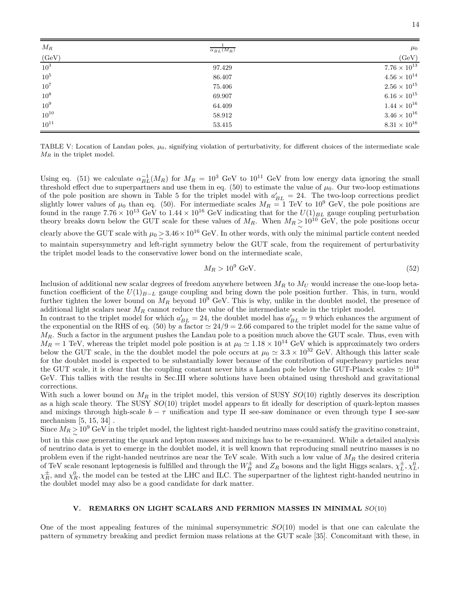| $M_R$           | $\alpha_{BL}(M_R)$ | $\mu_0$               |
|-----------------|--------------------|-----------------------|
| (GeV)           |                    | (GeV)                 |
| 10 <sup>3</sup> | 97.429             | $7.76 \times 10^{13}$ |
| 10 <sup>5</sup> | 86.407             | $4.56 \times 10^{14}$ |
| $10^7$          | 75.406             | $2.56 \times 10^{15}$ |
| $10^8$          | 69.907             | $6.16 \times 10^{15}$ |
| 10 <sup>9</sup> | 64.409             | $1.44 \times 10^{16}$ |
| $10^{10}$       | 58.912             | $3.46 \times 10^{16}$ |
| $10^{11}$       | 53.415             | $8.31 \times 10^{16}$ |

TABLE V: Location of Landau poles,  $\mu_0$ , signifying violation of perturbativity, for different choices of the intermediate scale  $M_R$  in the triplet model.

Using eq. (51) we calculate  $\alpha_{BL}^{-1}(M_R)$  for  $M_R = 10^3$  GeV to  $10^{11}$  GeV from low energy data ignoring the small threshold effect due to superpartners and use them in eq. (50) to estimate the value of  $\mu_0$ . Our two-loop estimations of the pole position are shown in Table 5 for the triplet model with  $a'_{BL} = 24$ . The two-loop corrections predict slightly lower values of  $\mu_0$  than eq. (50). For intermediate scales  $M_R = 1$  TeV to 10<sup>9</sup> GeV, the pole positions are found in the range  $7.76 \times 10^{13}$  GeV to  $1.44 \times 10^{16}$  GeV indicating that for the  $U(1)_{BL}$  gauge coupling perturbation theory breaks down below the GUT scale for these values of  $M_R$ . When  $M_R \geq 10^{10}$  GeV, the pole positions occur clearly above the GUT scale with  $\mu_0 > 3.46 \times 10^{16}$  GeV. In other words, with only the minimal particle content needed to maintain supersymmetry and left-right symmetry below the GUT scale, from the requirement of perturbativity the triplet model leads to the conservative lower bond on the intermediate scale,

$$
M_R > 10^9 \text{ GeV}.\tag{52}
$$

Inclusion of additional new scalar degrees of freedom anywhere between  $M_R$  to  $M_U$  would increase the one-loop betafunction coefficient of the  $U(1)_{B-L}$  gauge coupling and bring down the pole position further. This, in turn, would further tighten the lower bound on  $M_R$  beyond  $10^9$  GeV. This is why, unlike in the doublet model, the presence of additional light scalars near  $M_R$  cannot reduce the value of the intermediate scale in the triplet model.

In contrast to the triplet model for which  $a'_{BL} = 24$ , the doublet model has  $a'_{BL} = 9$  which enhances the argument of the exponential on the RHS of eq. (50) by a factor  $\simeq 24/9 = 2.66$  compared to the triplet model for the same value of  $M_R$ . Such a factor in the argument pushes the Landau pole to a position much above the GUT scale. Thus, even with  $M_R = 1$  TeV, whereas the triplet model pole position is at  $\mu_0 \simeq 1.18 \times 10^{14}$  GeV which is approximately two orders below the GUT scale, in the the doublet model the pole occurs at  $\mu_0 \simeq 3.3 \times 10^{32}$  GeV. Although this latter scale for the doublet model is expected to be substantially lower because of the contribution of superheavy particles near the GUT scale, it is clear that the coupling constant never hits a Landau pole below the GUT-Planck scales  $\simeq 10^{18}$ GeV. This tallies with the results in Sec.III where solutions have been obtained using threshold and gravitational corrections.

With such a lower bound on  $M_R$  in the triplet model, this version of SUSY  $SO(10)$  rightly deserves its description as a high scale theory. The SUSY SO(10) triplet model appears to fit ideally for description of quark-lepton masses and mixings through high-scale  $b - \tau$  unification and type II see-saw dominance or even through type I see-saw mechanism [5, 15, 34] .

Since  $M_R \geq 10^9$  GeV in the triplet model, the lightest right-handed neutrino mass could satisfy the gravitino constraint,

but in this case generating the quark and lepton masses and mixings has to be re-examined. While a detailed analysis of neutrino data is yet to emerge in the doublet model, it is well known that reproducing small neutrino masses is no problem even if the right-handed neutrinos are near the TeV scale. With such a low value of  $M_R$  the desired criteria of TeV scale resonant leptogenesis is fulfilled and through the  $W_R^{\pm}$  and  $Z_R$  bosons and the light Higgs scalars,  $\chi_L^{\pm}$ ,  $\chi_L^0$ ,  $\chi_R^{\pm}$ , and  $\chi_R^0$ , the model can be tested at the LHC and ILC. The superpartner of the lightest right-handed neutrino in the doublet model may also be a good candidate for dark matter.

# V. REMARKS ON LIGHT SCALARS AND FERMION MASSES IN MINIMAL SO(10)

One of the most appealing features of the minimal supersymmetric  $SO(10)$  model is that one can calculate the pattern of symmetry breaking and predict fermion mass relations at the GUT scale [35]. Concomitant with these, in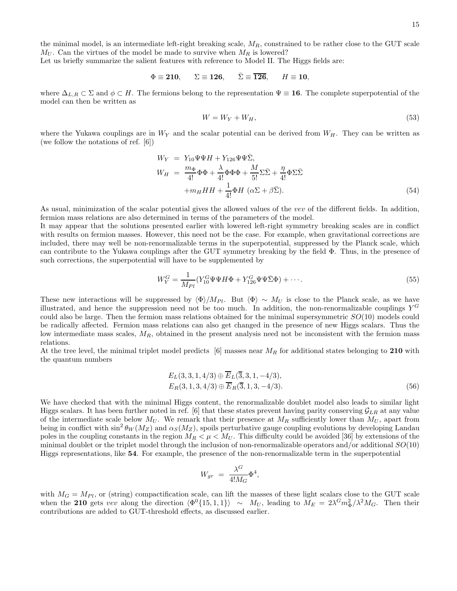the minimal model, is an intermediate left-right breaking scale,  $M_R$ , constrained to be rather close to the GUT scale  $M_U$ . Can the virtues of the model be made to survive when  $M_R$  is lowered?

Let us briefly summarize the salient features with reference to Model II. The Higgs fields are:

$$
\Phi \equiv 210, \qquad \Sigma \equiv 126, \qquad \bar{\Sigma} \equiv \overline{126}, \qquad H \equiv 10,
$$

where  $\Delta_{L,R}\subset \Sigma$  and  $\phi\subset H$ . The fermions belong to the representation  $\Psi\equiv 16$ . The complete superpotential of the model can then be written as

$$
W = W_Y + W_H,\tag{53}
$$

where the Yukawa couplings are in  $W_Y$  and the scalar potential can be derived from  $W_H$ . They can be written as (we follow the notations of ref. [6])

$$
W_Y = Y_{10}\Psi\Psi H + Y_{126}\Psi\Psi\bar{\Sigma},
$$
  
\n
$$
W_H = \frac{m_{\Phi}}{4!}\Phi\Phi + \frac{\lambda}{4!}\Phi\Phi\Phi + \frac{M}{5!}\Sigma\bar{\Sigma} + \frac{\eta}{4!}\Phi\Sigma\bar{\Sigma}
$$
  
\n
$$
+m_H H H + \frac{1}{4!}\Phi H \ (\alpha\Sigma + \beta\bar{\Sigma}).
$$
\n(54)

As usual, minimization of the scalar potential gives the allowed values of the vev of the different fields. In addition, fermion mass relations are also determined in terms of the parameters of the model.

It may appear that the solutions presented earlier with lowered left-right symmetry breaking scales are in conflict with results on fermion masses. However, this need not be the case. For example, when gravitational corrections are included, there may well be non-renormalizable terms in the superpotential, suppressed by the Planck scale, which can contribute to the Yukawa couplings after the GUT symmetry breaking by the field Φ. Thus, in the presence of such corrections, the superpotential will have to be supplemented by

$$
W_Y^G = \frac{1}{M_{Pl}} (Y_{10}^G \Psi \Psi H \Phi + Y_{126}^G \Psi \Psi \bar{\Sigma} \Phi) + \cdots.
$$
 (55)

These new interactions will be suppressed by  $\langle \Phi \rangle / M_{Pl}$ . But  $\langle \Phi \rangle \sim M_U$  is close to the Planck scale, as we have illustrated, and hence the suppression need not be too much. In addition, the non-renormalizable couplings  $Y^G$ could also be large. Then the fermion mass relations obtained for the minimal supersymmetric  $SO(10)$  models could be radically affected. Fermion mass relations can also get changed in the presence of new Higgs scalars. Thus the low intermediate mass scales,  $M_R$ , obtained in the present analysis need not be inconsistent with the fermion mass relations.

At the tree level, the minimal triplet model predicts  $[6]$  masses near  $M_R$  for additional states belonging to 210 with the quantum numbers

$$
E_L(3,3,1,4/3) \oplus \overline{E}_L(\overline{3},3,1,-4/3),
$$
  
\n
$$
E_R(3,1,3,4/3) \oplus \overline{E}_R(\overline{3},1,3,-4/3).
$$
\n(56)

We have checked that with the minimal Higgs content, the renormalizable doublet model also leads to similar light Higgs scalars. It has been further noted in ref. [6] that these states prevent having parity conserving  $\mathcal{G}_{LR}$  at any value of the intermediate scale below  $M_U$ . We remark that their presence at  $M_R$  sufficiently lower than  $M_U$ , apart from being in conflict with  $\sin^2 \theta_W(M_Z)$  and  $\alpha_S(M_Z)$ , spoils perturbative gauge coupling evolutions by developing Landau poles in the coupling constants in the region  $M_R < \mu < M_U$ . This difficulty could be avoided [36] by extensions of the minimal doublet or the triplet model through the inclusion of non-renormalizable operators and/or additional  $SO(10)$ Higgs representations, like 54. For example, the presence of the non-renormalizable term in the superpotential

$$
W_{gr} = \frac{\lambda^G}{4!M_G} \Phi^4,
$$

with  $M_G = M_{Pl}$ , or (string) compactification scale, can lift the masses of these light scalars close to the GUT scale when the 210 gets vev along the direction  $\langle \Phi^0{15, 1, 1} \rangle \sim M_U$ , leading to  $M_E = 2\lambda^G m_\Phi^2 / \lambda^2 M_G$ . Then their contributions are added to GUT-threshold effects, as discussed earlier.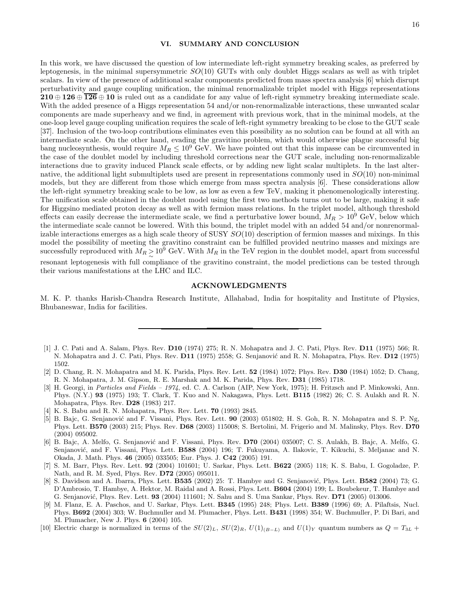## VI. SUMMARY AND CONCLUSION

In this work, we have discussed the question of low intermediate left-right symmetry breaking scales, as preferred by leptogenesis, in the minimal supersymmetric  $SO(10)$  GUTs with only doublet Higgs scalars as well as with triplet scalars. In view of the presence of additional scalar components predicted from mass spectra analysis [6] which disrupt perturbativity and gauge coupling unification, the minimal renormalizable triplet model with Higgs representations 210 ⊕ 126 ⊕  $\overline{126}$  ⊕ 10 is ruled out as a candidate for any value of left-right symmetry breaking intermediate scale. With the added presence of a Higgs representation 54 and/or non-renormalizable interactions, these unwanted scalar components are made superheavy and we find, in agreement with previous work, that in the minimal models, at the one-loop level gauge coupling unification requires the scale of left-right symmetry breaking to be close to the GUT scale [37]. Inclusion of the two-loop contributions eliminates even this possibility as no solution can be found at all with an intermediate scale. On the other hand, evading the gravitino problem, which would otherwise plague successful big bang nucleosynthesis, would require  $M_R \leq 10^9$  GeV. We have pointed out that this impasse can be circumvented in the case of the doublet model by including threshold corrections near the GUT scale, including non-renormalizable interactions due to gravity induced Planck scale effects, or by adding new light scalar multiplets. In the last alternative, the additional light submultiplets used are present in representations commonly used in  $SO(10)$  non-minimal models, but they are different from those which emerge from mass spectra analysis [6]. These considerations allow the left-right symmetry breaking scale to be low, as low as even a few TeV, making it phenomenologically interesting. The unification scale obtained in the doublet model using the first two methods turns out to be large, making it safe for Higgsino mediated proton decay as well as with fermion mass relations. In the triplet model, although threshold effects can easily decrease the intermediate scale, we find a perturbative lower bound,  $M_R > 10^9$  GeV, below which the intermediate scale cannot be lowered. With this bound, the triplet model with an added 54 and/or nonrenormalizable interactions emerges as a high scale theory of SUSY  $SO(10)$  description of fermion masses and mixings. In this model the possibility of meeting the gravitino constraint can be fulfilled provided neutrino masses and mixings are successfully reproduced with  $M_R \ge 10^9$  GeV. With  $M_R$  in the TeV region in the doublet model, apart from successful resonant leptogenesis with full compliance of the gravitino constraint, the model predictions can be tested through their various manifestations at the LHC and ILC.

## ACKNOWLEDGMENTS

M. K. P. thanks Harish-Chandra Research Institute, Allahabad, India for hospitality and Institute of Physics, Bhubaneswar, India for facilities.

- [1] J. C. Pati and A. Salam, Phys. Rev. D10 (1974) 275; R. N. Mohapatra and J. C. Pati, Phys. Rev. D11 (1975) 566; R. N. Mohapatra and J. C. Pati, Phys. Rev. D11 (1975) 2558; G. Senjanović and R. N. Mohapatra, Phys. Rev. D12 (1975) 1502.
- [2] D. Chang, R. N. Mohapatra and M. K. Parida, Phys. Rev. Lett. 52 (1984) 1072; Phys. Rev. D30 (1984) 1052; D. Chang, R. N. Mohapatra, J. M. Gipson, R. E. Marshak and M. K. Parida, Phys. Rev. D31 (1985) 1718.
- [3] H. Georgi, in Particles and Fields 1974, ed. C. A. Carlson (AIP, New York, 1975); H. Fritzsch and P. Minkowski, Ann. Phys. (N.Y.) 93 (1975) 193; T. Clark, T. Kuo and N. Nakagawa, Phys. Lett. B115 (1982) 26; C. S. Aulakh and R. N. Mohapatra, Phys. Rev. D28 (1983) 217.
- [4] K. S. Babu and R. N. Mohapatra, Phys. Rev. Lett. 70 (1993) 2845.
- [5] B. Bajc, G. Senjanović and F. Vissani, Phys. Rev. Lett. 90 (2003) 051802; H. S. Goh, R. N. Mohapatra and S. P. Ng, Phys. Lett. B570 (2003) 215; Phys. Rev. D68 (2003) 115008; S. Bertolini, M. Frigerio and M. Malinsky, Phys. Rev. D70 (2004) 095002.
- [6] B. Bajc, A. Melfo, G. Senjanović and F. Vissani, Phys. Rev. D70 (2004) 035007; C. S. Aulakh, B. Bajc, A. Melfo, G. Senjanović, and F. Vissani, Phys. Lett. B588 (2004) 196; T. Fukuyama, A. Ilakovic, T. Kikuchi, S. Meljanac and N. Okada, J. Math. Phys. 46 (2005) 033505; Eur. Phys. J. C42 (2005) 191.
- [7] S. M. Barr, Phys. Rev. Lett. 92 (2004) 101601; U. Sarkar, Phys. Lett. B622 (2005) 118; K. S. Babu, I. Gogoladze, P. Nath, and R. M. Syed, Phys. Rev. D72 (2005) 095011.
- [8] S. Davidson and A. Ibarra, Phys. Lett. B535 (2002) 25: T. Hambye and G. Senjanović, Phys. Lett. B582 (2004) 73; G. D'Ambrosio, T. Hambye, A. Hektor, M. Raidal and A. Rossi, Phys. Lett. B604 (2004) 199; L. Boubekeur, T. Hambye and G. Senjanović, Phys. Rev. Lett. 93 (2004) 111601; N. Sahu and S. Uma Sankar, Phys. Rev. D71 (2005) 013006.
- [9] M. Flanz, E. A. Paschos, and U. Sarkar, Phys. Lett. B345 (1995) 248; Phys. Lett. B389 (1996) 69; A. Pilaftsis, Nucl. Phys. B692 (2004) 303; W. Buchmuller and M. Plumacher, Phys. Lett. B431 (1998) 354; W. Buchmuller, P. Di Bari, and M. Plumacher, New J. Phys. 6 (2004) 105.
- [10] Electric charge is normalized in terms of the  $SU(2)_L$ ,  $SU(2)_R$ ,  $U(1)_{(B-L)}$  and  $U(1)_Y$  quantum numbers as  $Q = T_{3L}$  +